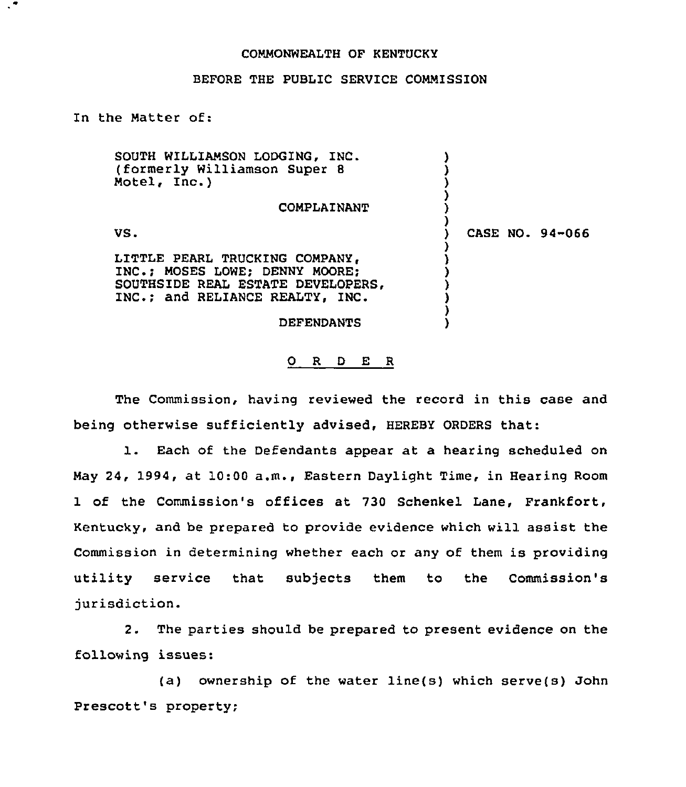## COMMONWEALTH OF KENTUCKY

## BEFORE THE PUBLIC SERVICE COMMISSION

In the Matter of:

| SOUTH WILLIAMSON LODGING. INC.<br>(formerly Williamson Super 8<br>Motel, Inc.)                                                           |                 |
|------------------------------------------------------------------------------------------------------------------------------------------|-----------------|
| <b>COMPLAINANT</b>                                                                                                                       |                 |
| VS.                                                                                                                                      | CASE NO. 94-066 |
| LITTLE PEARL TRUCKING COMPANY,<br>INC.: MOSES LOWE: DENNY MOORE:<br>SOUTHSIDE REAL ESTATE DEVELOPERS,<br>INC.; and RELIANCE REALTY, INC. |                 |
| <b>DEFENDANTS</b>                                                                                                                        |                 |

## 0 R <sup>D</sup> E <sup>R</sup>

The Commission, having reviewed the record in this case and being otherwise sufficiently advised, HEREBY ORDERS that:

1. Each of the Defendants appear at <sup>a</sup> hearing scheduled on May 24, 1994, at 10:00 a.m., Eastern Daylight Time, in Hearing Room 1 of the Commission's offices at 730 Schenkel Lane, Frankfort, Kentucky, and be prepared to provide evidence which will assist the Commission in determining whether each or any of them is providing utility service that subjects them to the Commission's jurisdiction.

2. The parties should be prepared to present evidence on the following issues:

(a) ownership of the water line(s) which serve(s) John Prescott's property;